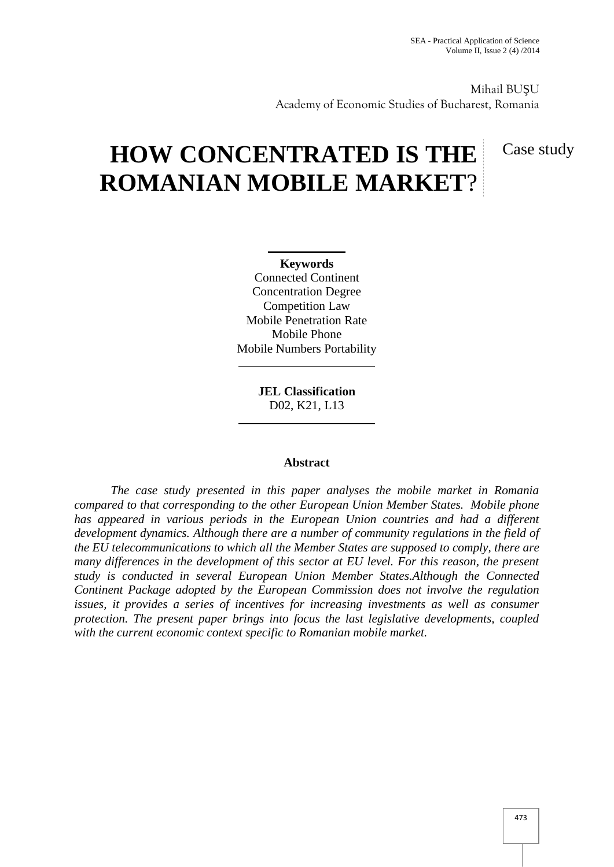Mihail BU U Academy of Economic Studies of Bucharest, Romania

# **HOW CONCENTRATED IS THE ROMANIAN MOBILE MARKET**?

Case study

**Keywords** Connected Continent Concentration Degree Competition Law Mobile Penetration Rate Mobile Phone Mobile Numbers Portability

> **JEL Classification** D02, K21, L13

#### **Abstract**

*The case study presented in this paper analyses the mobile market in Romania compared to that corresponding to the other European Union Member States. Mobile phone has appeared in various periods in the European Union countries and had a different development dynamics. Although there are a number of community regulations in the field of the EU telecommunications to which all the Member States are supposed to comply, there are many differences in the development of this sector at EU level. For this reason, the present study is conducted in several European Union Member States.Although the Connected Continent Package adopted by the European Commission does not involve the regulation issues, it provides a series of incentives for increasing investments as well as consumer protection. The present paper brings into focus the last legislative developments, coupled with the current economic context specific to Romanian mobile market.*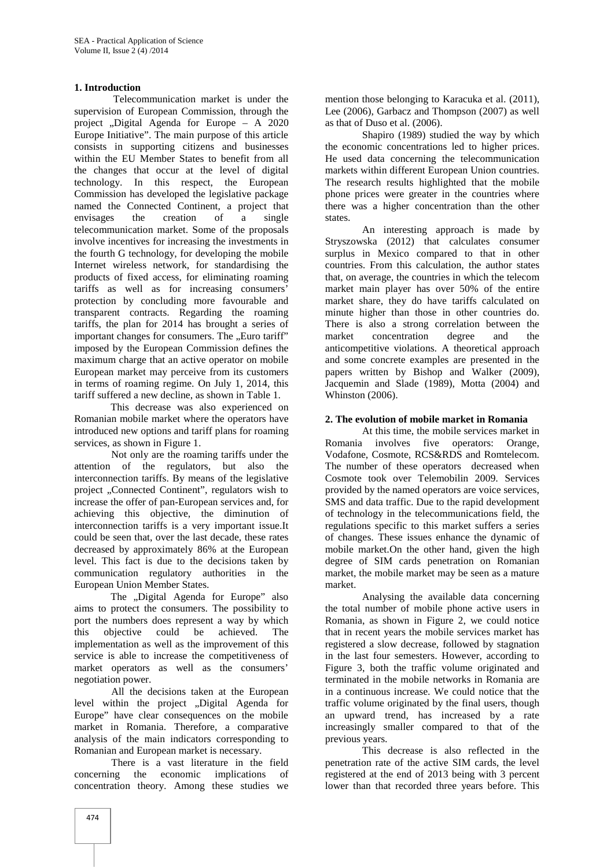#### **1. Introduction**

Telecommunication market is under the supervision of European Commission, through the project "Digital Agenda for Europe - A 2020 Europe Initiative". The main purpose of this article consists in supporting citizens and businesses within the EU Member States to benefit from all the changes that occur at the level of digital technology. In this respect, the European Commission has developed the legislative package named the Connected Continent, a project that envisages the creation of a single telecommunication market. Some of the proposals involve incentives for increasing the investments in the fourth G technology, for developing the mobile Internet wireless network, for standardising the products of fixed access, for eliminating roaming tariffs as well as for increasing consumers' protection by concluding more favourable and transparent contracts. Regarding the roaming tariffs, the plan for 2014 has brought a series of important changes for consumers. The "Euro tariff" imposed by the European Commission defines the maximum charge that an active operator on mobile European market may perceive from its customers in terms of roaming regime. On July 1, 2014, this tariff suffered a new decline, as shown in Table 1.

This decrease was also experienced on Romanian mobile market where the operators have introduced new options and tariff plans for roaming services, as shown in Figure 1.

Not only are the roaming tariffs under the attention of the regulators, but also the interconnection tariffs. By means of the legislative project "Connected Continent", regulators wish to increase the offer of pan-European services and, for achieving this objective, the diminution of interconnection tariffs is a very important issue.It could be seen that, over the last decade, these rates decreased by approximately 86% at the European level. This fact is due to the decisions taken by communication regulatory authorities in the European Union Member States.

The "Digital Agenda for Europe" also aims to protect the consumers. The possibility to port the numbers does represent a way by which this objective could be achieved. The implementation as well as the improvement of this service is able to increase the competitiveness of market operators as well as the consumers' negotiation power.

All the decisions taken at the European level within the project "Digital Agenda for Europe" have clear consequences on the mobile market in Romania. Therefore, a comparative analysis of the main indicators corresponding to Romanian and European market is necessary.

There is a vast literature in the field concerning the economic implications of concentration theory. Among these studies we

mention those belonging to Karacuka et al. (2011), Lee (2006), Garbacz and Thompson (2007) as well as that of Duso et al. (2006).

Shapiro (1989) studied the way by which the economic concentrations led to higher prices. He used data concerning the telecommunication markets within different European Union countries. The research results highlighted that the mobile phone prices were greater in the countries where there was a higher concentration than the other states.

An interesting approach is made by Stryszowska (2012) that calculates consumer surplus in Mexico compared to that in other countries. From this calculation, the author states that, on average, the countries in which the telecom market main player has over 50% of the entire market share, they do have tariffs calculated on minute higher than those in other countries do. There is also a strong correlation between the<br>market concentration degree and the market concentration degree and the anticompetitive violations. A theoretical approach and some concrete examples are presented in the papers written by Bishop and Walker (2009), Jacquemin and Slade (1989), Motta (2004) and Whinston (2006).

#### **2. The evolution of mobile market in Romania**

At this time, the mobile services market in Romania involves five operators: Orange, Vodafone, Cosmote, RCS&RDS and Romtelecom. The number of these operators decreased when Cosmote took over Telemobilin 2009. Services provided by the named operators are voice services, SMS and data traffic. Due to the rapid development of technology in the telecommunications field, the regulations specific to this market suffers a series of changes. These issues enhance the dynamic of mobile market.On the other hand, given the high degree of SIM cards penetration on Romanian market, the mobile market may be seen as a mature market.

Analysing the available data concerning the total number of mobile phone active users in Romania, as shown in Figure 2, we could notice that in recent years the mobile services market has registered a slow decrease, followed by stagnation in the last four semesters. However, according to Figure 3, both the traffic volume originated and terminated in the mobile networks in Romania are in a continuous increase. We could notice that the traffic volume originated by the final users, though an upward trend, has increased by a rate increasingly smaller compared to that of the previous years.

This decrease is also reflected in the penetration rate of the active SIM cards, the level registered at the end of 2013 being with 3 percent lower than that recorded three years before. This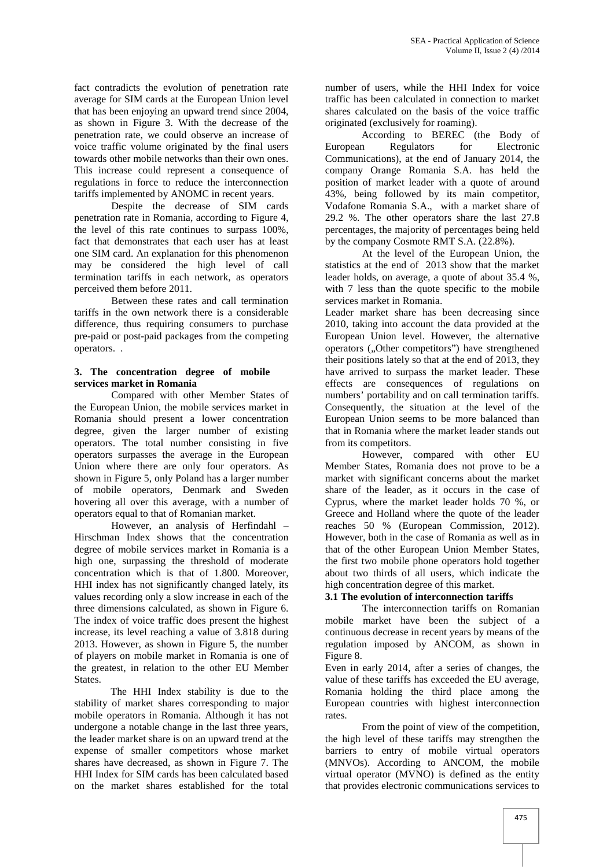fact contradicts the evolution of penetration rate average for SIM cards at the European Union level that has been enjoying an upward trend since 2004, as shown in Figure 3. With the decrease of the penetration rate, we could observe an increase of voice traffic volume originated by the final users towards other mobile networks than their own ones. This increase could represent a consequence of regulations in force to reduce the interconnection tariffs implemented by ANOMC in recent years.

Despite the decrease of SIM cards penetration rate in Romania, according to Figure 4, the level of this rate continues to surpass 100%, fact that demonstrates that each user has at least one SIM card. An explanation for this phenomenon may be considered the high level of call termination tariffs in each network, as operators perceived them before 2011.

Between these rates and call termination tariffs in the own network there is a considerable difference, thus requiring consumers to purchase pre-paid or post-paid packages from the competing operators. .

#### **3. The concentration degree of mobile services market in Romania**

Compared with other Member States of the European Union, the mobile services market in Romania should present a lower concentration degree, given the larger number of existing operators. The total number consisting in five operators surpasses the average in the European Union where there are only four operators. As shown in Figure 5, only Poland has a larger number of mobile operators, Denmark and Sweden hovering all over this average, with a number of operators equal to that of Romanian market.

However, an analysis of Herfindahl – Hirschman Index shows that the concentration degree of mobile services market in Romania is a high one, surpassing the threshold of moderate concentration which is that of 1.800. Moreover, HHI index has not significantly changed lately, its values recording only a slow increase in each of the three dimensions calculated, as shown in Figure 6. The index of voice traffic does present the highest increase, its level reaching a value of 3.818 during 2013. However, as shown in Figure 5, the number of players on mobile market in Romania is one of the greatest, in relation to the other EU Member States.

The HHI Index stability is due to the stability of market shares corresponding to major mobile operators in Romania. Although it has not undergone a notable change in the last three years, the leader market share is on an upward trend at the expense of smaller competitors whose market shares have decreased, as shown in Figure 7. The HHI Index for SIM cards has been calculated based on the market shares established for the total

number of users, while the HHI Index for voice traffic has been calculated in connection to market shares calculated on the basis of the voice traffic originated (exclusively for roaming).

According to BEREC (the Body of European Regulators for Electronic Communications), at the end of January 2014, the company Orange Romania S.A. has held the position of market leader with a quote of around 43%, being followed by its main competitor, Vodafone Romania S.A., with a market share of 29.2 %. The other operators share the last 27.8 percentages, the majority of percentages being held by the company Cosmote RMT S.A. (22.8%).

At the level of the European Union, the statistics at the end of 2013 show that the market leader holds, on average, a quote of about 35.4 %, with 7 less than the quote specific to the mobile services market in Romania.

Leader market share has been decreasing since 2010, taking into account the data provided at the European Union level. However, the alternative operators ("Other competitors") have strengthened their positions lately so that at the end of 2013, they have arrived to surpass the market leader. These effects are consequences of regulations on numbers' portability and on call termination tariffs. Consequently, the situation at the level of the European Union seems to be more balanced than that in Romania where the market leader stands out from its competitors.

However, compared with other EU Member States, Romania does not prove to be a market with significant concerns about the market share of the leader, as it occurs in the case of Cyprus, where the market leader holds 70 %, or Greece and Holland where the quote of the leader reaches 50 % (European Commission, 2012). However, both in the case of Romania as well as in that of the other European Union Member States, the first two mobile phone operators hold together about two thirds of all users, which indicate the high concentration degree of this market.

#### **3.1 The evolution of interconnection tariffs**

The interconnection tariffs on Romanian mobile market have been the subject of a continuous decrease in recent years by means of the regulation imposed by ANCOM, as shown in Figure 8.

Even in early 2014, after a series of changes, the value of these tariffs has exceeded the EU average, Romania holding the third place among the European countries with highest interconnection rates.

From the point of view of the competition, the high level of these tariffs may strengthen the barriers to entry of mobile virtual operators (MNVOs). According to ANCOM, the mobile virtual operator (MVNO) is defined as the entity that provides electronic communications services to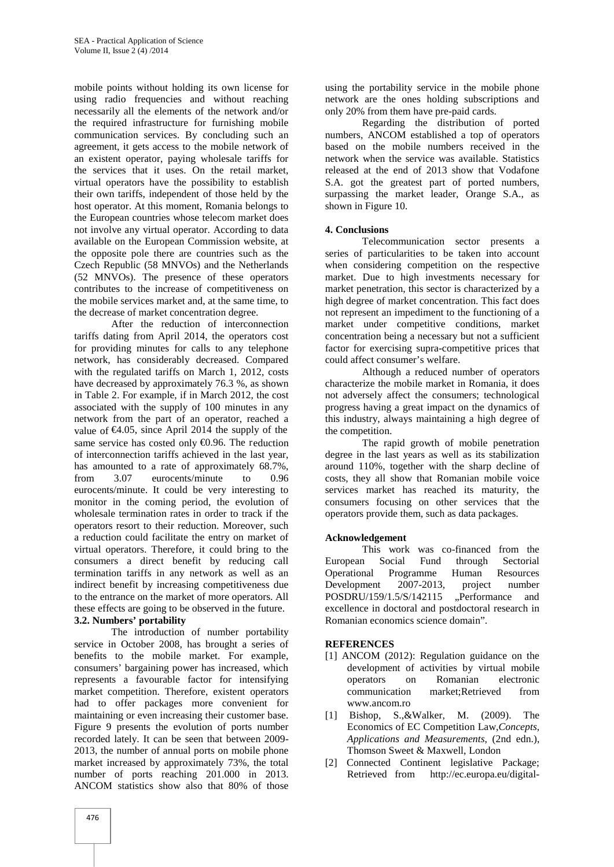mobile points without holding its own license for using radio frequencies and without reaching necessarily all the elements of the network and/or the required infrastructure for furnishing mobile communication services. By concluding such an agreement, it gets access to the mobile network of an existent operator, paying wholesale tariffs for the services that it uses. On the retail market, virtual operators have the possibility to establish their own tariffs, independent of those held by the host operator. At this moment, Romania belongs to the European countries whose telecom market does not involve any virtual operator. According to data available on the European Commission website, at the opposite pole there are countries such as the Czech Republic (58 MNVOs) and the Netherlands (52 MNVOs). The presence of these operators contributes to the increase of competitiveness on the mobile services market and, at the same time, to the decrease of market concentration degree.

After the reduction of interconnection tariffs dating from April 2014, the operators cost for providing minutes for calls to any telephone network, has considerably decreased. Compared with the regulated tariffs on March 1, 2012, costs have decreased by approximately 76.3 %, as shown in Table 2. For example, if in March 2012, the cost associated with the supply of 100 minutes in any network from the part of an operator, reached a value of  $64.05$ , since April 2014 the supply of the same service has costed only  $\Theta$ .96. The reduction of interconnection tariffs achieved in the last year, has amounted to a rate of approximately 68.7%, from 3.07 eurocents/minute to 0.96 eurocents/minute. It could be very interesting to monitor in the coming period, the evolution of wholesale termination rates in order to track if the operators resort to their reduction. Moreover, such a reduction could facilitate the entry on market of virtual operators. Therefore, it could bring to the consumers a direct benefit by reducing call termination tariffs in any network as well as an indirect benefit by increasing competitiveness due to the entrance on the market of more operators. All these effects are going to be observed in the future.

#### **3.2. Numbers' portability**

The introduction of number portability service in October 2008, has brought a series of benefits to the mobile market. For example, consumers' bargaining power has increased, which represents a favourable factor for intensifying market competition. Therefore, existent operators had to offer packages more convenient for maintaining or even increasing their customer base. Figure 9 presents the evolution of ports number recorded lately. It can be seen that between 2009- 2013, the number of annual ports on mobile phone market increased by approximately 73%, the total number of ports reaching 201.000 in 2013. ANCOM statistics show also that 80% of those

using the portability service in the mobile phone network are the ones holding subscriptions and only 20% from them have pre-paid cards.

Regarding the distribution of ported numbers, ANCOM established a top of operators based on the mobile numbers received in the network when the service was available. Statistics released at the end of 2013 show that Vodafone S.A. got the greatest part of ported numbers, surpassing the market leader, Orange S.A., as shown in Figure 10.

#### **4. Conclusions**

Telecommunication sector presents a series of particularities to be taken into account when considering competition on the respective market. Due to high investments necessary for market penetration, this sector is characterized by a high degree of market concentration. This fact does not represent an impediment to the functioning of a market under competitive conditions, market concentration being a necessary but not a sufficient factor for exercising supra-competitive prices that could affect consumer's welfare.

Although a reduced number of operators characterize the mobile market in Romania, it does not adversely affect the consumers; technological progress having a great impact on the dynamics of this industry, always maintaining a high degree of the competition.

The rapid growth of mobile penetration degree in the last years as well as its stabilization around 110%, together with the sharp decline of costs, they all show that Romanian mobile voice services market has reached its maturity, the consumers focusing on other services that the operators provide them, such as data packages.

#### **Acknowledgement**

This work was co-financed from the European Social Fund through Sectorial Programme Human Resources<br>2007-2013, project number Development 2007-2013, project number POSDRU/159/1.5/S/142115 "Performance and excellence in doctoral and postdoctoral research in Romanian economics science domain".

#### **REFERENCES**

- [1] ANCOM (2012): Regulation guidance on the development of activities by virtual mobile operators on Romanian electronic communication market;Retrieved from www.ancom.ro
- [1] Bishop, S.,&Walker, M. (2009). The Economics of EC Competition Law,*Concepts, Applications and Measurements*, (2nd edn.), Thomson Sweet & Maxwell, London
- [2] Connected Continent legislative Package; Retrieved from http://ec.europa.eu/digital-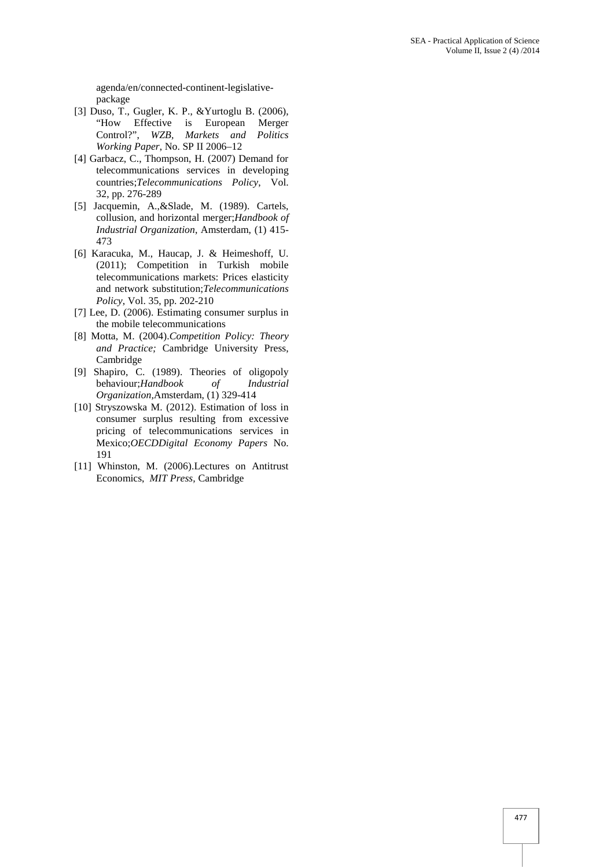agenda/en/connected-continent-legislative package

- [3] Duso, T., Gugler, K. P., &Yurtoglu B. (2006), "How Effective is European Merger Control?", *WZB, Markets and Politics Working Paper*, No. SP II 2006–12
- [4] Garbacz, C., Thompson, H. (2007) Demand for telecommunications services in developing countries;*Telecommunications Policy*, Vol. 32, pp. 276-289
- [5] Jacquemin, A.,&Slade, M. (1989). Cartels, collusion, and horizontal merger;*Handbook of Industrial Organization*, Amsterdam, (1) 415- 473
- [6] Karacuka, M., Haucap, J. & Heimeshoff, U. (2011); Competition in Turkish mobile telecommunications markets: Prices elasticity and network substitution;*Telecommunications Policy*, Vol. 35, pp. 202-210
- [7] Lee, D. (2006). Estimating consumer surplus in the mobile telecommunications
- [8] Motta, M. (2004).*Competition Policy: Theory and Practice;* Cambridge University Press, Cambridge
- [9] Shapiro, C. (1989). Theories of oligopoly behaviour;*Handbook of Industrial Organization,*Amsterdam, (1) 329-414
- [10] Stryszowska M. (2012). Estimation of loss in consumer surplus resulting from excessive pricing of telecommunications services in Mexico;*OECDDigital Economy Papers* No. 191
- [11] Whinston, M. (2006).Lectures on Antitrust Economics, *MIT Press,* Cambridge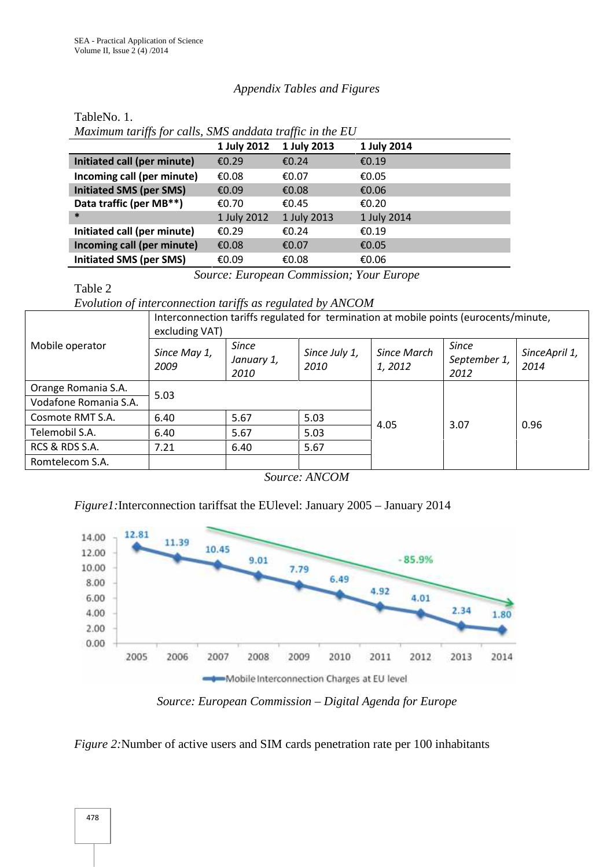## *Appendix Tables and Figures*

TableNo. 1.

|                                | <i>maximum iarys for caus, sins and and traffic in the LO</i> |             |             |  |  |  |  |
|--------------------------------|---------------------------------------------------------------|-------------|-------------|--|--|--|--|
|                                | 1 July 2012                                                   | 1 July 2013 | 1 July 2014 |  |  |  |  |
| Initiated call (per minute)    | £0.29                                                         | €0.24       | €0.19       |  |  |  |  |
| Incoming call (per minute)     | €0.08                                                         | €0.07       | €0.05       |  |  |  |  |
| <b>Initiated SMS (per SMS)</b> | €0.09                                                         | €0.08       | €0.06       |  |  |  |  |
| Data traffic (per MB**)        | €0.70                                                         | €0.45       | €0.20       |  |  |  |  |
| $\ast$                         | 1 July 2012                                                   | 1 July 2013 | 1 July 2014 |  |  |  |  |
| Initiated call (per minute)    | £0.29                                                         | €0.24       | €0.19       |  |  |  |  |
| Incoming call (per minute)     | €0.08                                                         | €0.07       | €0.05       |  |  |  |  |
| <b>Initiated SMS (per SMS)</b> | €0.09                                                         | €0.08       | €0.06       |  |  |  |  |

*Maximum tariffs for calls, SMS anddata traffic in the EU*

*Source: European Commission; Your Europe*

Table 2

### *Evolution of interconnection tariffs as regulated by ANCOM*

|                       | Interconnection tariffs regulated for termination at mobile points (eurocents/minute,<br>excluding VAT) |                                    |                       |                       |                                      |                       |  |
|-----------------------|---------------------------------------------------------------------------------------------------------|------------------------------------|-----------------------|-----------------------|--------------------------------------|-----------------------|--|
| Mobile operator       | Since May 1,<br>2009                                                                                    | <b>Since</b><br>January 1,<br>2010 | Since July 1,<br>2010 | Since March<br>1,2012 | <b>Since</b><br>September 1,<br>2012 | SinceApril 1,<br>2014 |  |
| Orange Romania S.A.   | 5.03                                                                                                    |                                    |                       |                       |                                      |                       |  |
| Vodafone Romania S.A. |                                                                                                         |                                    |                       |                       |                                      |                       |  |
| Cosmote RMT S.A.      | 6.40                                                                                                    | 5.67                               | 5.03                  | 4.05                  | 3.07                                 | 0.96                  |  |
| Telemobil S.A.        | 6.40                                                                                                    | 5.67                               | 5.03                  |                       |                                      |                       |  |
| RCS & RDS S.A.        | 7.21                                                                                                    | 6.40                               | 5.67                  |                       |                                      |                       |  |
| Romtelecom S.A.       |                                                                                                         |                                    |                       |                       |                                      |                       |  |

*Source: ANCOM*

## *Figure1:*Interconnection tariffsat the EUlevel: January 2005 – January 2014



*Source: European Commission – Digital Agenda for Europe*

*Figure 2:*Number of active users and SIM cards penetration rate per 100 inhabitants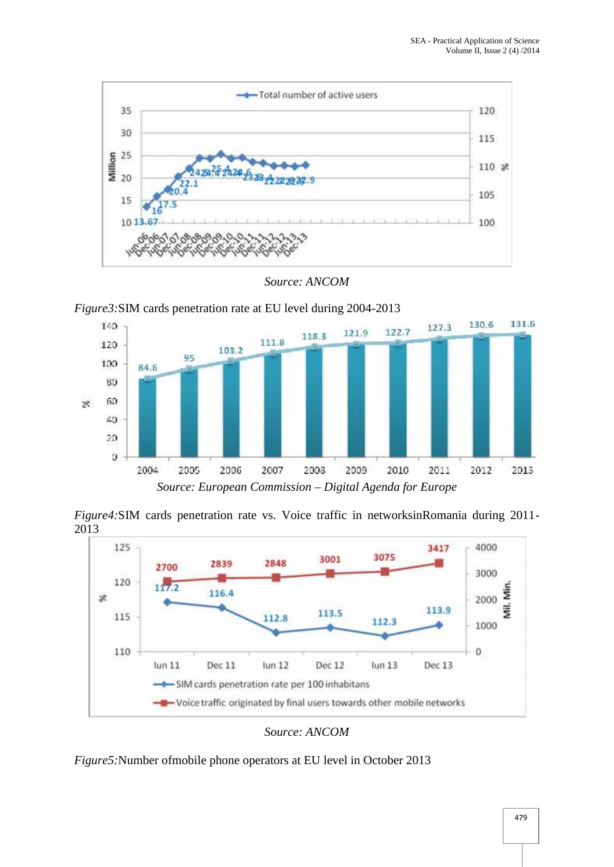

*Source: ANCOM*





*Figure4:*SIM cards penetration rate vs. Voice traffic in networksinRomania during 2011- 2013



*Source: ANCOM*

*Figure5:*Number ofmobile phone operators at EU level in October 2013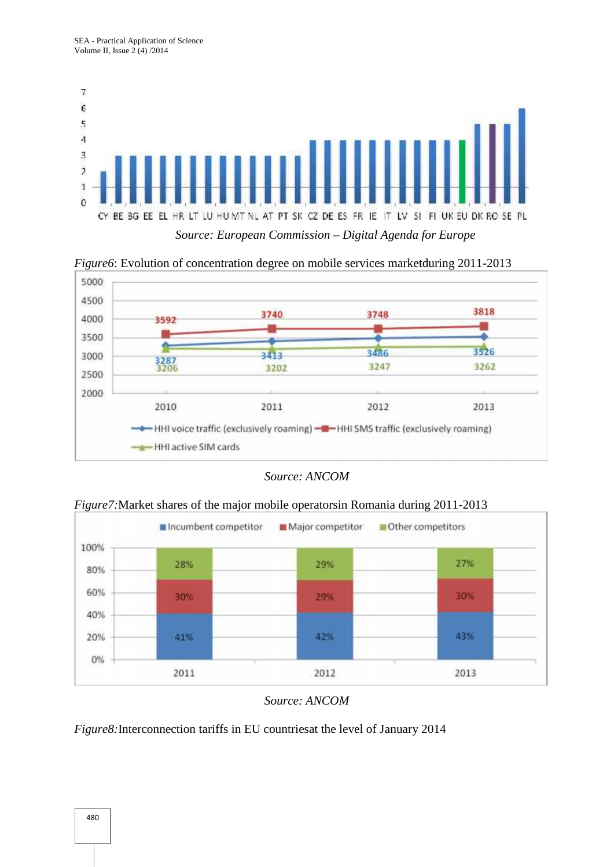

*Figure6*: Evolution of concentration degree on mobile services marketduring 2011-2013



*Source: ANCOM*



*Figure7:*Market shares of the major mobile operatorsin Romania during 2011-2013

*Source: ANCOM*

*Figure8:*Interconnection tariffs in EU countriesat the level of January 2014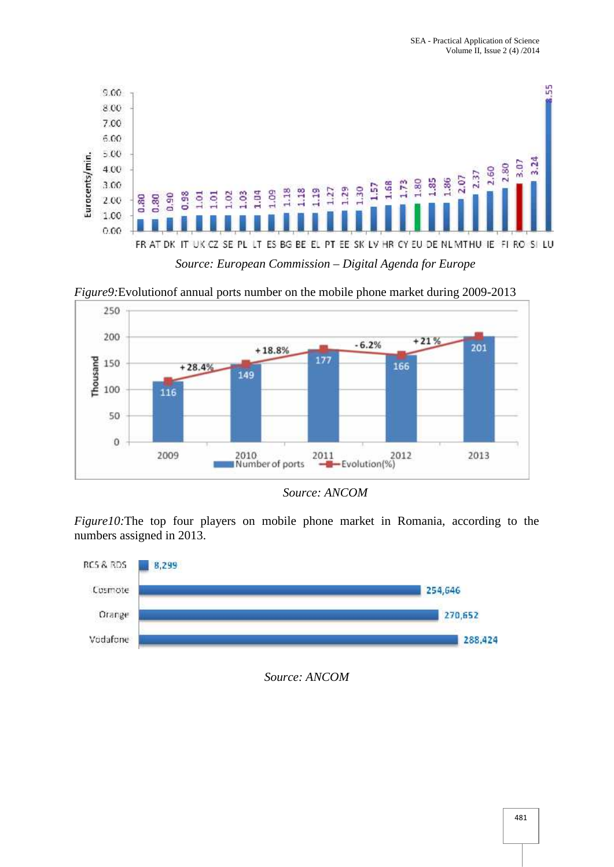

*Figure9:*Evolutionof annual ports number on the mobile phone market during 2009-2013



*Source: ANCOM*

*Figure10:*The top four players on mobile phone market in Romania, according to the numbers assigned in 2013.